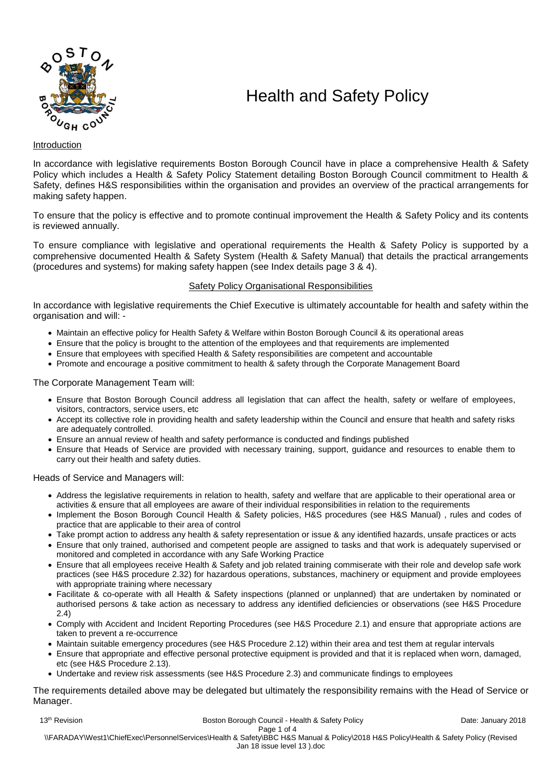

# Health and Safety Policy

# Introduction

In accordance with legislative requirements Boston Borough Council have in place a comprehensive Health & Safety Policy which includes a Health & Safety Policy Statement detailing Boston Borough Council commitment to Health & Safety, defines H&S responsibilities within the organisation and provides an overview of the practical arrangements for making safety happen.

To ensure that the policy is effective and to promote continual improvement the Health & Safety Policy and its contents is reviewed annually.

To ensure compliance with legislative and operational requirements the Health & Safety Policy is supported by a comprehensive documented Health & Safety System (Health & Safety Manual) that details the practical arrangements (procedures and systems) for making safety happen (see Index details page 3 & 4).

# Safety Policy Organisational Responsibilities

In accordance with legislative requirements the Chief Executive is ultimately accountable for health and safety within the organisation and will: -

- Maintain an effective policy for Health Safety & Welfare within Boston Borough Council & its operational areas
- Ensure that the policy is brought to the attention of the employees and that requirements are implemented
- Ensure that employees with specified Health & Safety responsibilities are competent and accountable
- Promote and encourage a positive commitment to health & safety through the Corporate Management Board

The Corporate Management Team will:

- Ensure that Boston Borough Council address all legislation that can affect the health, safety or welfare of employees, visitors, contractors, service users, etc
- Accept its collective role in providing health and safety leadership within the Council and ensure that health and safety risks are adequately controlled.
- Ensure an annual review of health and safety performance is conducted and findings published
- Ensure that Heads of Service are provided with necessary training, support, guidance and resources to enable them to carry out their health and safety duties.

Heads of Service and Managers will:

- Address the legislative requirements in relation to health, safety and welfare that are applicable to their operational area or activities & ensure that all employees are aware of their individual responsibilities in relation to the requirements
- Implement the Boson Borough Council Health & Safety policies, H&S procedures (see H&S Manual) , rules and codes of practice that are applicable to their area of control
- Take prompt action to address any health & safety representation or issue & any identified hazards, unsafe practices or acts
- Ensure that only trained, authorised and competent people are assigned to tasks and that work is adequately supervised or monitored and completed in accordance with any Safe Working Practice
- Ensure that all employees receive Health & Safety and job related training commiserate with their role and develop safe work practices (see H&S procedure 2.32) for hazardous operations, substances, machinery or equipment and provide employees with appropriate training where necessary
- Facilitate & co-operate with all Health & Safety inspections (planned or unplanned) that are undertaken by nominated or authorised persons & take action as necessary to address any identified deficiencies or observations (see H&S Procedure 2.4)
- Comply with Accident and Incident Reporting Procedures (see H&S Procedure 2.1) and ensure that appropriate actions are taken to prevent a re-occurrence
- Maintain suitable emergency procedures (see H&S Procedure 2.12) within their area and test them at regular intervals
- Ensure that appropriate and effective personal protective equipment is provided and that it is replaced when worn, damaged, etc (see H&S Procedure 2.13).
- Undertake and review risk assessments (see H&S Procedure 2.3) and communicate findings to employees

#### The requirements detailed above may be delegated but ultimately the responsibility remains with the Head of Service or Manager.

13<sup>th</sup> Revision **Exercise 2018** Boston Borough Council - Health & Safety Policy **Date: January 2018** 

Page 1 of 4 \\FARADAY\West1\ChiefExec\PersonnelServices\Health & Safety\BBC H&S Manual & Policy\2018 H&S Policy\Health & Safety Policy (Revised Jan 18 issue level 13 ).doc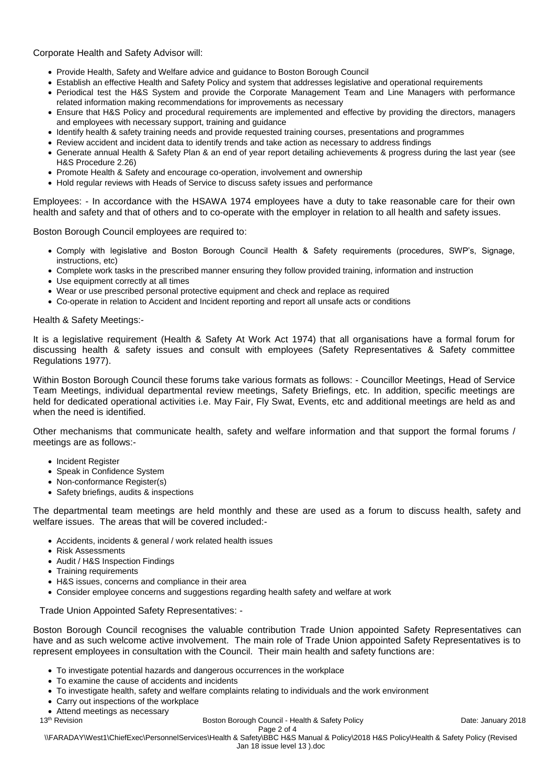Corporate Health and Safety Advisor will:

- Provide Health, Safety and Welfare advice and guidance to Boston Borough Council
- Establish an effective Health and Safety Policy and system that addresses legislative and operational requirements
- Periodical test the H&S System and provide the Corporate Management Team and Line Managers with performance related information making recommendations for improvements as necessary
- Ensure that H&S Policy and procedural requirements are implemented and effective by providing the directors, managers and employees with necessary support, training and guidance
- Identify health & safety training needs and provide requested training courses, presentations and programmes
- Review accident and incident data to identify trends and take action as necessary to address findings
- Generate annual Health & Safety Plan & an end of year report detailing achievements & progress during the last year (see H&S Procedure 2.26)
- Promote Health & Safety and encourage co-operation, involvement and ownership
- Hold regular reviews with Heads of Service to discuss safety issues and performance

Employees: - In accordance with the HSAWA 1974 employees have a duty to take reasonable care for their own health and safety and that of others and to co-operate with the employer in relation to all health and safety issues.

Boston Borough Council employees are required to:

- Comply with legislative and Boston Borough Council Health & Safety requirements (procedures, SWP's, Signage, instructions, etc)
- Complete work tasks in the prescribed manner ensuring they follow provided training, information and instruction
- Use equipment correctly at all times
- Wear or use prescribed personal protective equipment and check and replace as required
- Co-operate in relation to Accident and Incident reporting and report all unsafe acts or conditions

## Health & Safety Meetings:-

It is a legislative requirement (Health & Safety At Work Act 1974) that all organisations have a formal forum for discussing health & safety issues and consult with employees (Safety Representatives & Safety committee Regulations 1977).

Within Boston Borough Council these forums take various formats as follows: - Councillor Meetings, Head of Service Team Meetings, individual departmental review meetings, Safety Briefings, etc. In addition, specific meetings are held for dedicated operational activities i.e. May Fair, Fly Swat, Events, etc and additional meetings are held as and when the need is identified.

Other mechanisms that communicate health, safety and welfare information and that support the formal forums / meetings are as follows:-

- Incident Register
- Speak in Confidence System
- Non-conformance Register(s)
- Safety briefings, audits & inspections

The departmental team meetings are held monthly and these are used as a forum to discuss health, safety and welfare issues. The areas that will be covered included:-

- Accidents, incidents & general / work related health issues
- Risk Assessments
- Audit / H&S Inspection Findings
- Training requirements
- H&S issues, concerns and compliance in their area
- Consider employee concerns and suggestions regarding health safety and welfare at work

Trade Union Appointed Safety Representatives: -

Boston Borough Council recognises the valuable contribution Trade Union appointed Safety Representatives can have and as such welcome active involvement. The main role of Trade Union appointed Safety Representatives is to represent employees in consultation with the Council. Their main health and safety functions are:

- To investigate potential hazards and dangerous occurrences in the workplace
- To examine the cause of accidents and incidents
- To investigate health, safety and welfare complaints relating to individuals and the work environment
- Carry out inspections of the workplace
- Attend meetings as necessary

13<sup>th</sup> Revision **Boston Borough Council - Health & Safety Policy Date: January 2018 Date: January 2018** Page 2 of 4

\\FARADAY\West1\ChiefExec\PersonnelServices\Health & Safety\BBC H&S Manual & Policy\2018 H&S Policy\Health & Safety Policy (Revised Jan 18 issue level 13 ).doc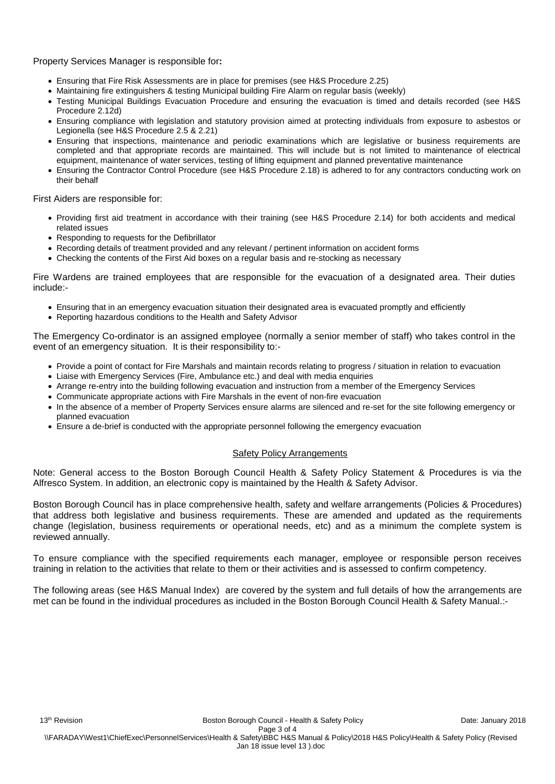Property Services Manager is responsible for**:**

- Ensuring that Fire Risk Assessments are in place for premises (see H&S Procedure 2.25)
- Maintaining fire extinguishers & testing Municipal building Fire Alarm on regular basis (weekly)
- Testing Municipal Buildings Evacuation Procedure and ensuring the evacuation is timed and details recorded (see H&S Procedure 2.12d)
- Ensuring compliance with legislation and statutory provision aimed at protecting individuals from exposure to asbestos or Legionella (see H&S Procedure 2.5 & 2.21)
- Ensuring that inspections, maintenance and periodic examinations which are legislative or business requirements are completed and that appropriate records are maintained. This will include but is not limited to maintenance of electrical equipment, maintenance of water services, testing of lifting equipment and planned preventative maintenance
- Ensuring the Contractor Control Procedure (see H&S Procedure 2.18) is adhered to for any contractors conducting work on their behalf

First Aiders are responsible for:

- Providing first aid treatment in accordance with their training (see H&S Procedure 2.14) for both accidents and medical related issues
- Responding to requests for the Defibrillator
- Recording details of treatment provided and any relevant / pertinent information on accident forms
- Checking the contents of the First Aid boxes on a regular basis and re-stocking as necessary

Fire Wardens are trained employees that are responsible for the evacuation of a designated area. Their duties include:-

- Ensuring that in an emergency evacuation situation their designated area is evacuated promptly and efficiently
- Reporting hazardous conditions to the Health and Safety Advisor

The Emergency Co-ordinator is an assigned employee (normally a senior member of staff) who takes control in the event of an emergency situation. It is their responsibility to:-

- Provide a point of contact for Fire Marshals and maintain records relating to progress / situation in relation to evacuation
- Liaise with Emergency Services (Fire, Ambulance etc.) and deal with media enquiries
- Arrange re-entry into the building following evacuation and instruction from a member of the Emergency Services
- Communicate appropriate actions with Fire Marshals in the event of non-fire evacuation
- In the absence of a member of Property Services ensure alarms are silenced and re-set for the site following emergency or planned evacuation
- Ensure a de-brief is conducted with the appropriate personnel following the emergency evacuation

## **Safety Policy Arrangements**

Note: General access to the Boston Borough Council Health & Safety Policy Statement & Procedures is via the Alfresco System. In addition, an electronic copy is maintained by the Health & Safety Advisor.

Boston Borough Council has in place comprehensive health, safety and welfare arrangements (Policies & Procedures) that address both legislative and business requirements. These are amended and updated as the requirements change (legislation, business requirements or operational needs, etc) and as a minimum the complete system is reviewed annually.

To ensure compliance with the specified requirements each manager, employee or responsible person receives training in relation to the activities that relate to them or their activities and is assessed to confirm competency.

The following areas (see H&S Manual Index) are covered by the system and full details of how the arrangements are met can be found in the individual procedures as included in the Boston Borough Council Health & Safety Manual.:-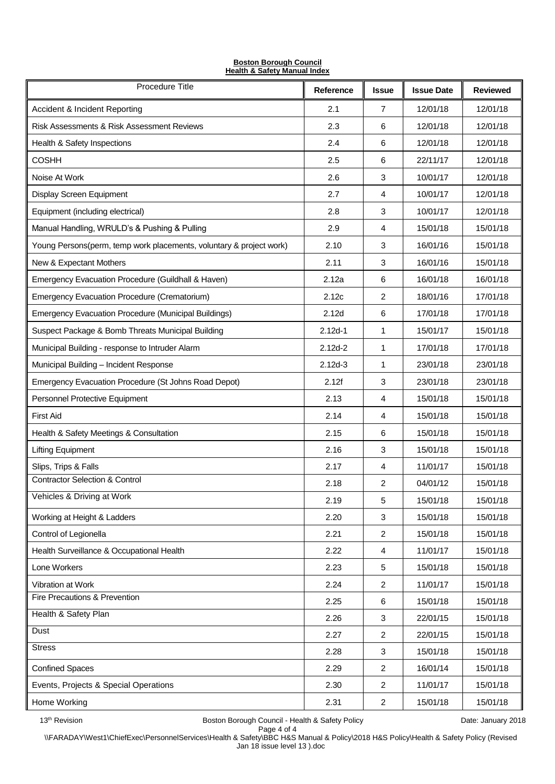| <b>Boston Borough Council</b>           |  |
|-----------------------------------------|--|
| <b>Health &amp; Safety Manual Index</b> |  |

| Procedure Title                                                     | Reference   | <b>Issue</b>   | <b>Issue Date</b> | <b>Reviewed</b> |
|---------------------------------------------------------------------|-------------|----------------|-------------------|-----------------|
| <b>Accident &amp; Incident Reporting</b>                            | 2.1         | 7              | 12/01/18          | 12/01/18        |
| Risk Assessments & Risk Assessment Reviews                          | 2.3         | 6              | 12/01/18          | 12/01/18        |
| Health & Safety Inspections                                         | 2.4         | 6              | 12/01/18          | 12/01/18        |
| <b>COSHH</b>                                                        | 2.5         | 6              | 22/11/17          | 12/01/18        |
| Noise At Work                                                       | 2.6         | 3              | 10/01/17          | 12/01/18        |
| Display Screen Equipment                                            | 2.7         | 4              | 10/01/17          | 12/01/18        |
| Equipment (including electrical)                                    | 2.8         | 3              | 10/01/17          | 12/01/18        |
| Manual Handling, WRULD's & Pushing & Pulling                        | 2.9         | 4              | 15/01/18          | 15/01/18        |
| Young Persons(perm, temp work placements, voluntary & project work) | 2.10        | 3              | 16/01/16          | 15/01/18        |
| New & Expectant Mothers                                             | 2.11        | 3              | 16/01/16          | 15/01/18        |
| Emergency Evacuation Procedure (Guildhall & Haven)                  | 2.12a       | 6              | 16/01/18          | 16/01/18        |
| <b>Emergency Evacuation Procedure (Crematorium)</b>                 | 2.12c       | 2              | 18/01/16          | 17/01/18        |
| <b>Emergency Evacuation Procedure (Municipal Buildings)</b>         | 2.12d       | 6              | 17/01/18          | 17/01/18        |
| Suspect Package & Bomb Threats Municipal Building                   | $2.12d - 1$ | 1              | 15/01/17          | 15/01/18        |
| Municipal Building - response to Intruder Alarm                     | $2.12d - 2$ | 1              | 17/01/18          | 17/01/18        |
| Municipal Building - Incident Response                              | $2.12d - 3$ | 1              | 23/01/18          | 23/01/18        |
| Emergency Evacuation Procedure (St Johns Road Depot)                | 2.12f       | 3              | 23/01/18          | 23/01/18        |
| Personnel Protective Equipment                                      | 2.13        | 4              | 15/01/18          | 15/01/18        |
| <b>First Aid</b>                                                    | 2.14        | 4              | 15/01/18          | 15/01/18        |
| Health & Safety Meetings & Consultation                             | 2.15        | 6              | 15/01/18          | 15/01/18        |
| <b>Lifting Equipment</b>                                            | 2.16        | 3              | 15/01/18          | 15/01/18        |
| Slips, Trips & Falls                                                | 2.17        | 4              | 11/01/17          | 15/01/18        |
| <b>Contractor Selection &amp; Control</b>                           | 2.18        | $\overline{2}$ | 04/01/12          | 15/01/18        |
| Vehicles & Driving at Work                                          | 2.19        | 5              | 15/01/18          | 15/01/18        |
| Working at Height & Ladders                                         | 2.20        | 3              | 15/01/18          | 15/01/18        |
| Control of Legionella                                               | 2.21        | $\overline{c}$ | 15/01/18          | 15/01/18        |
| Health Surveillance & Occupational Health                           | 2.22        | 4              | 11/01/17          | 15/01/18        |
| Lone Workers                                                        | 2.23        | 5              | 15/01/18          | 15/01/18        |
| Vibration at Work                                                   | 2.24        | $\overline{2}$ | 11/01/17          | 15/01/18        |
| Fire Precautions & Prevention                                       | 2.25        | 6              | 15/01/18          | 15/01/18        |
| Health & Safety Plan                                                | 2.26        | 3              | 22/01/15          | 15/01/18        |
| Dust                                                                | 2.27        | $\overline{c}$ | 22/01/15          | 15/01/18        |
| <b>Stress</b>                                                       | 2.28        | 3              | 15/01/18          | 15/01/18        |
| <b>Confined Spaces</b>                                              | 2.29        | $\overline{c}$ | 16/01/14          | 15/01/18        |
| Events, Projects & Special Operations                               | 2.30        | $\overline{c}$ | 11/01/17          | 15/01/18        |
| Home Working                                                        | 2.31        | $\overline{c}$ | 15/01/18          | 15/01/18        |

13<sup>th</sup> Revision **Boston Borough Council - Health & Safety Policy Council - Health & Safety Policy Date: January 2018** 

Page 4 of 4 \\FARADAY\West1\ChiefExec\PersonnelServices\Health & Safety\BBC H&S Manual & Policy\2018 H&S Policy\Health & Safety Policy (Revised Jan 18 issue level 13 ).doc